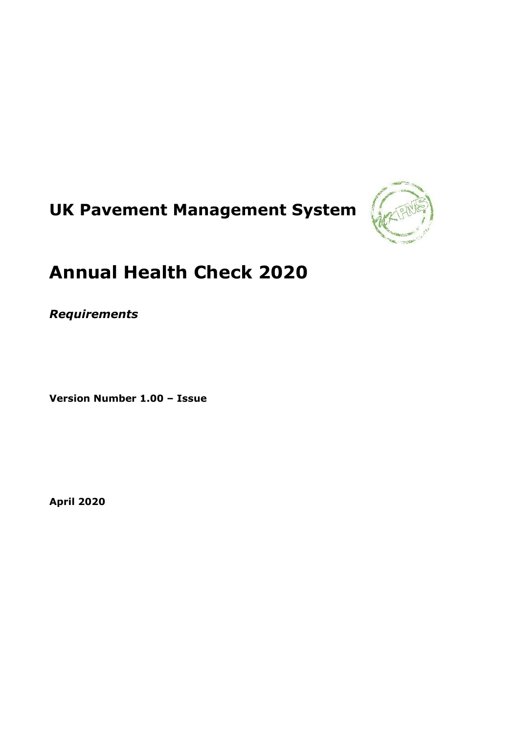# **UK Pavement Management System**



# **Annual Health Check 2020**

*Requirements*

**Version Number 1.00 – Issue**

**April 2020**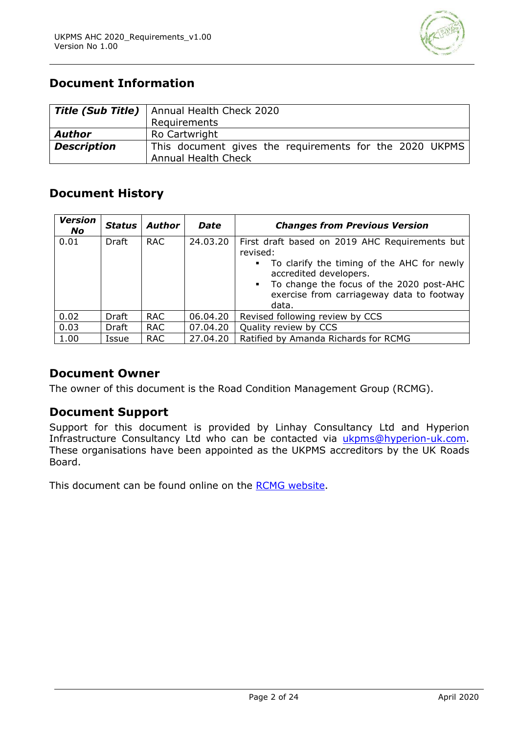

# **Document Information**

|                    | Title (Sub Title)   Annual Health Check 2020                                          |  |  |  |  |
|--------------------|---------------------------------------------------------------------------------------|--|--|--|--|
|                    | Requirements                                                                          |  |  |  |  |
| <b>Author</b>      | Ro Cartwright                                                                         |  |  |  |  |
| <b>Description</b> | This document gives the requirements for the 2020 UKPMS<br><b>Annual Health Check</b> |  |  |  |  |

# **Document History**

| <b>Version</b><br><b>No</b> | Status I | Author     | <b>Date</b> | <b>Changes from Previous Version</b>                                                                                            |
|-----------------------------|----------|------------|-------------|---------------------------------------------------------------------------------------------------------------------------------|
| 0.01                        | Draft    | <b>RAC</b> | 24.03.20    | First draft based on 2019 AHC Requirements but<br>revised:                                                                      |
|                             |          |            |             | To clarify the timing of the AHC for newly<br>$\mathbf{E}^{\text{max}}$<br>accredited developers.                               |
|                             |          |            |             | To change the focus of the 2020 post-AHC<br>$\mathbf{m} \in \mathbb{R}^n$<br>exercise from carriageway data to footway<br>data. |
| 0.02                        | Draft    | <b>RAC</b> | 06.04.20    | Revised following review by CCS                                                                                                 |
| 0.03                        | Draft    | <b>RAC</b> | 07.04.20    | Quality review by CCS                                                                                                           |
| 1.00                        | Issue    | <b>RAC</b> | 27.04.20    | Ratified by Amanda Richards for RCMG                                                                                            |

# **Document Owner**

The owner of this document is the Road Condition Management Group (RCMG).

# **Document Support**

Support for this document is provided by Linhay Consultancy Ltd and Hyperion Infrastructure Consultancy Ltd who can be contacted via [ukpms@hyperion-uk.com.](mailto:ukpms@hyperion-uk.com) These organisations have been appointed as the UKPMS accreditors by the UK Roads Board.

This document can be found online on the [RCMG website.](http://www.ukroadsliaisongroup.org/en/asset-condition/road-condition-information/data-management/uk-pavement-management-system-ukpms/ukpms-annual-health-check/index.cfm)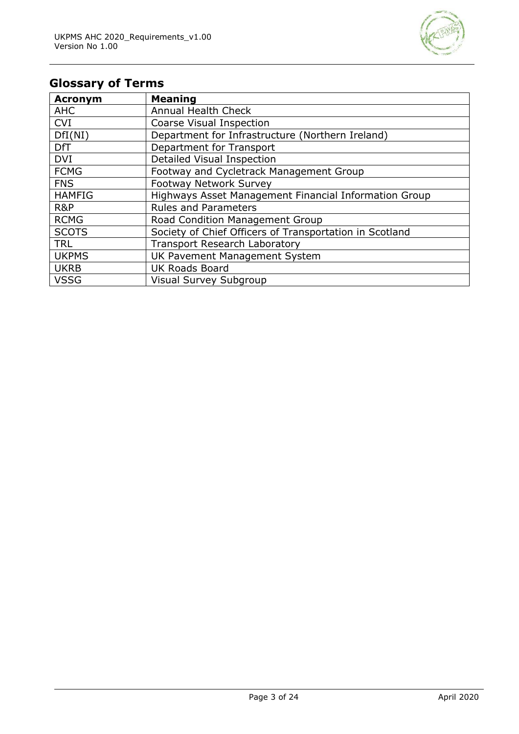

# **Glossary of Terms**

| <b>Acronym</b> | <b>Meaning</b>                                          |
|----------------|---------------------------------------------------------|
| <b>AHC</b>     | <b>Annual Health Check</b>                              |
| <b>CVI</b>     | Coarse Visual Inspection                                |
| DfI(NI)        | Department for Infrastructure (Northern Ireland)        |
| <b>DfT</b>     | Department for Transport                                |
| <b>DVI</b>     | Detailed Visual Inspection                              |
| <b>FCMG</b>    | Footway and Cycletrack Management Group                 |
| <b>FNS</b>     | <b>Footway Network Survey</b>                           |
| <b>HAMFIG</b>  | Highways Asset Management Financial Information Group   |
| R&P            | <b>Rules and Parameters</b>                             |
| <b>RCMG</b>    | Road Condition Management Group                         |
| <b>SCOTS</b>   | Society of Chief Officers of Transportation in Scotland |
| <b>TRL</b>     | <b>Transport Research Laboratory</b>                    |
| <b>UKPMS</b>   | UK Pavement Management System                           |
| <b>UKRB</b>    | <b>UK Roads Board</b>                                   |
| <b>VSSG</b>    | Visual Survey Subgroup                                  |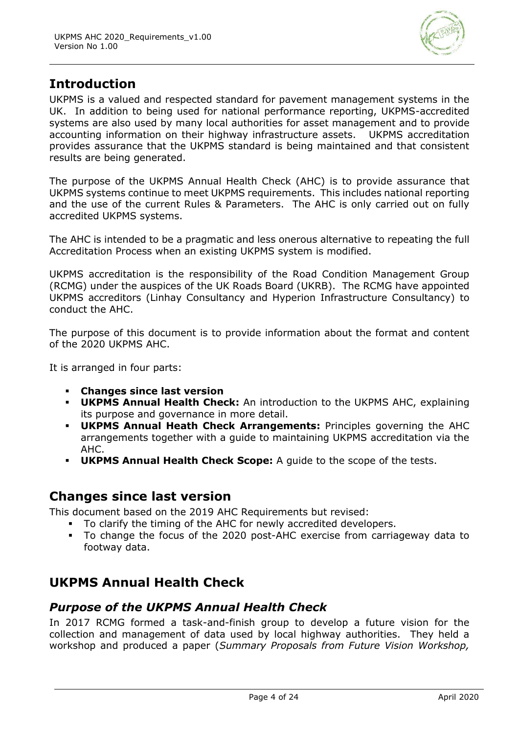

# **Introduction**

UKPMS is a valued and respected standard for pavement management systems in the UK. In addition to being used for national performance reporting, UKPMS-accredited systems are also used by many local authorities for asset management and to provide accounting information on their highway infrastructure assets. UKPMS accreditation provides assurance that the UKPMS standard is being maintained and that consistent results are being generated.

The purpose of the UKPMS Annual Health Check (AHC) is to provide assurance that UKPMS systems continue to meet UKPMS requirements. This includes national reporting and the use of the current Rules & Parameters. The AHC is only carried out on fully accredited UKPMS systems.

The AHC is intended to be a pragmatic and less onerous alternative to repeating the full Accreditation Process when an existing UKPMS system is modified.

UKPMS accreditation is the responsibility of the Road Condition Management Group (RCMG) under the auspices of the UK Roads Board (UKRB). The RCMG have appointed UKPMS accreditors (Linhay Consultancy and Hyperion Infrastructure Consultancy) to conduct the AHC.

The purpose of this document is to provide information about the format and content of the 2020 UKPMS AHC.

It is arranged in four parts:

- **Changes since last version**
- **UKPMS Annual Health Check:** An introduction to the UKPMS AHC, explaining its purpose and governance in more detail.
- **UKPMS Annual Heath Check Arrangements:** Principles governing the AHC arrangements together with a guide to maintaining UKPMS accreditation via the AHC.
- **UKPMS Annual Health Check Scope:** A guide to the scope of the tests.

# **Changes since last version**

This document based on the 2019 AHC Requirements but revised:

- To clarify the timing of the AHC for newly accredited developers.
- To change the focus of the 2020 post-AHC exercise from carriageway data to footway data.

# **UKPMS Annual Health Check**

# *Purpose of the UKPMS Annual Health Check*

In 2017 RCMG formed a task-and-finish group to develop a future vision for the collection and management of data used by local highway authorities. They held a workshop and produced a paper (*Summary Proposals from Future Vision Workshop,*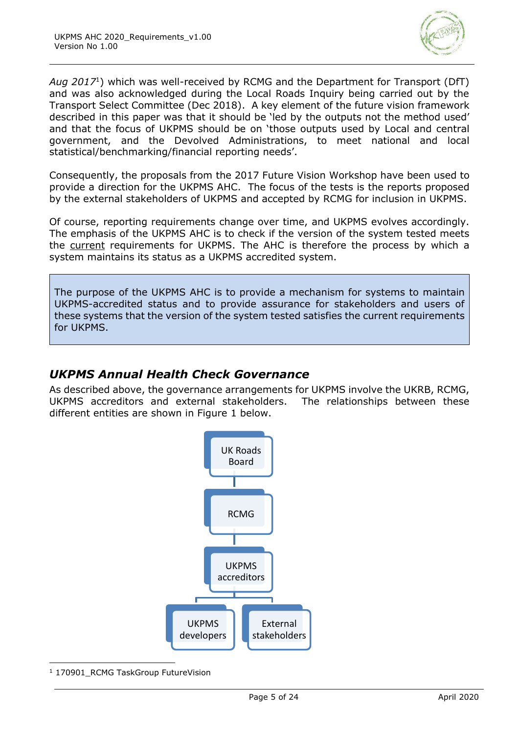

*Aug 2017*<sup>1</sup> ) which was well-received by RCMG and the Department for Transport (DfT) and was also acknowledged during the Local Roads Inquiry being carried out by the Transport Select Committee (Dec 2018). A key element of the future vision framework described in this paper was that it should be 'led by the outputs not the method used' and that the focus of UKPMS should be on 'those outputs used by Local and central government, and the Devolved Administrations, to meet national and local statistical/benchmarking/financial reporting needs'.

Consequently, the proposals from the 2017 Future Vision Workshop have been used to provide a direction for the UKPMS AHC. The focus of the tests is the reports proposed by the external stakeholders of UKPMS and accepted by RCMG for inclusion in UKPMS.

Of course, reporting requirements change over time, and UKPMS evolves accordingly. The emphasis of the UKPMS AHC is to check if the version of the system tested meets the current requirements for UKPMS. The AHC is therefore the process by which a system maintains its status as a UKPMS accredited system.

The purpose of the UKPMS AHC is to provide a mechanism for systems to maintain UKPMS-accredited status and to provide assurance for stakeholders and users of these systems that the version of the system tested satisfies the current requirements for UKPMS.

# *UKPMS Annual Health Check Governance*

As described above, the governance arrangements for UKPMS involve the UKRB, RCMG, UKPMS accreditors and external stakeholders. The relationships between these different entities are shown in [Figure 1](#page-5-0) below.



<sup>1</sup> 170901 RCMG TaskGroup FutureVision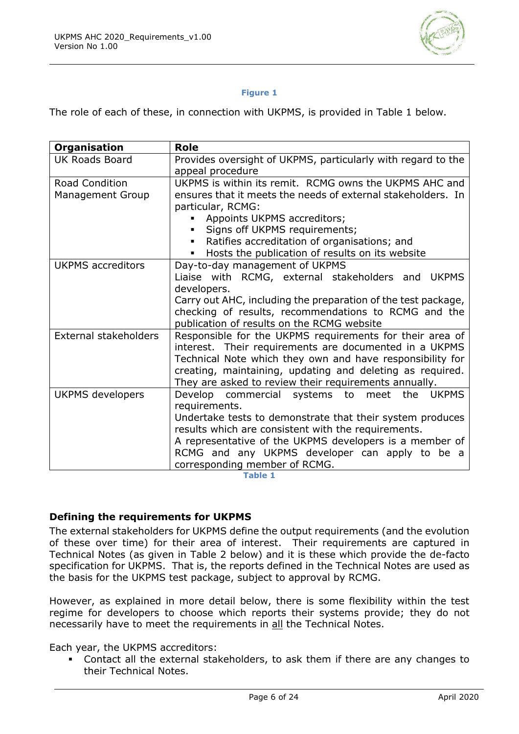

#### **Figure 1**

<span id="page-5-0"></span>The role of each of these, in connection with UKPMS, is provided in [Table 1](#page-5-1) below.

| <b>Organisation</b>      | <b>Role</b>                                                   |  |  |
|--------------------------|---------------------------------------------------------------|--|--|
| <b>UK Roads Board</b>    | Provides oversight of UKPMS, particularly with regard to the  |  |  |
|                          | appeal procedure                                              |  |  |
| <b>Road Condition</b>    | UKPMS is within its remit. RCMG owns the UKPMS AHC and        |  |  |
| <b>Management Group</b>  | ensures that it meets the needs of external stakeholders. In  |  |  |
|                          | particular, RCMG:                                             |  |  |
|                          | Appoints UKPMS accreditors;                                   |  |  |
|                          | Signs off UKPMS requirements;<br>$\blacksquare$               |  |  |
|                          | Ratifies accreditation of organisations; and                  |  |  |
|                          | Hosts the publication of results on its website<br>٠          |  |  |
| <b>UKPMS</b> accreditors | Day-to-day management of UKPMS                                |  |  |
|                          | Liaise with RCMG, external stakeholders and<br><b>UKPMS</b>   |  |  |
|                          | developers.                                                   |  |  |
|                          | Carry out AHC, including the preparation of the test package, |  |  |
|                          | checking of results, recommendations to RCMG and the          |  |  |
|                          | publication of results on the RCMG website                    |  |  |
| External stakeholders    | Responsible for the UKPMS requirements for their area of      |  |  |
|                          | interest. Their requirements are documented in a UKPMS        |  |  |
|                          | Technical Note which they own and have responsibility for     |  |  |
|                          | creating, maintaining, updating and deleting as required.     |  |  |
|                          | They are asked to review their requirements annually.         |  |  |
| UKPMS developers         | Develop commercial systems to meet the<br><b>UKPMS</b>        |  |  |
|                          | requirements.                                                 |  |  |
|                          | Undertake tests to demonstrate that their system produces     |  |  |
|                          | results which are consistent with the requirements.           |  |  |
|                          | A representative of the UKPMS developers is a member of       |  |  |
|                          | RCMG and any UKPMS developer can apply to be a                |  |  |
|                          | corresponding member of RCMG.                                 |  |  |

**Table 1**

#### <span id="page-5-1"></span>**Defining the requirements for UKPMS**

The external stakeholders for UKPMS define the output requirements (and the evolution of these over time) for their area of interest. Their requirements are captured in Technical Notes (as given in [Table 2](#page-6-0) below) and it is these which provide the de-facto specification for UKPMS. That is, the reports defined in the Technical Notes are used as the basis for the UKPMS test package, subject to approval by RCMG.

However, as explained in more detail below, there is some flexibility within the test regime for developers to choose which reports their systems provide; they do not necessarily have to meet the requirements in all the Technical Notes.

Each year, the UKPMS accreditors:

Contact all the external stakeholders, to ask them if there are any changes to their Technical Notes.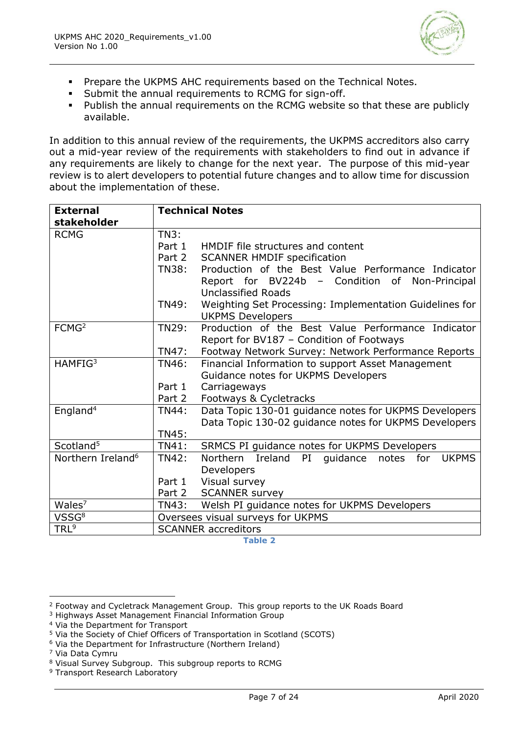

- **Prepare the UKPMS AHC requirements based on the Technical Notes.**
- Submit the annual requirements to RCMG for sign-off.
- Publish the annual requirements on the RCMG website so that these are publicly available.

In addition to this annual review of the requirements, the UKPMS accreditors also carry out a mid-year review of the requirements with stakeholders to find out in advance if any requirements are likely to change for the next year. The purpose of this mid-year review is to alert developers to potential future changes and to allow time for discussion about the implementation of these.

| <b>External</b>               | <b>Technical Notes</b>            |                                                                              |  |
|-------------------------------|-----------------------------------|------------------------------------------------------------------------------|--|
| stakeholder                   |                                   |                                                                              |  |
| <b>RCMG</b>                   | TN3:                              |                                                                              |  |
|                               | Part 1                            | HMDIF file structures and content                                            |  |
|                               | Part 2                            | <b>SCANNER HMDIF specification</b>                                           |  |
|                               | <b>TN38:</b>                      | Production of the Best Value Performance Indicator                           |  |
|                               |                                   | Report for BV224b - Condition of<br>Non-Principal                            |  |
|                               |                                   | <b>Unclassified Roads</b>                                                    |  |
|                               | TN49:                             | Weighting Set Processing: Implementation Guidelines for                      |  |
|                               |                                   | <b>UKPMS Developers</b>                                                      |  |
| FCMG <sup>2</sup>             | <b>TN29:</b>                      | Production of the Best Value Performance Indicator                           |  |
|                               |                                   | Report for BV187 - Condition of Footways                                     |  |
|                               | TN47:                             | Footway Network Survey: Network Performance Reports                          |  |
| HAMFIG <sup>3</sup>           | <b>TN46:</b>                      | Financial Information to support Asset Management                            |  |
|                               |                                   | Guidance notes for UKPMS Developers                                          |  |
|                               | Part 1                            | Carriageways                                                                 |  |
|                               | Part 2                            | Footways & Cycletracks                                                       |  |
| England <sup>4</sup>          | <b>TN44:</b>                      | Data Topic 130-01 guidance notes for UKPMS Developers                        |  |
|                               |                                   | Data Topic 130-02 guidance notes for UKPMS Developers                        |  |
|                               | <b>TN45:</b>                      |                                                                              |  |
| Scotland <sup>5</sup>         | <b>TN41:</b>                      | SRMCS PI guidance notes for UKPMS Developers                                 |  |
| Northern Ireland <sup>6</sup> | TN42:                             | PI<br><b>Northern</b><br>Ireland<br><b>UKPMS</b><br>guidance<br>notes<br>for |  |
|                               |                                   | Developers                                                                   |  |
|                               | Part 1                            | Visual survey                                                                |  |
|                               | Part 2                            | <b>SCANNER survey</b>                                                        |  |
| Wales <sup>7</sup>            | TN43:                             | Welsh PI guidance notes for UKPMS Developers                                 |  |
| VSSG <sup>8</sup>             | Oversees visual surveys for UKPMS |                                                                              |  |
| TRL <sup>9</sup>              | <b>SCANNER</b> accreditors        |                                                                              |  |

<span id="page-6-0"></span><sup>2</sup> Footway and Cycletrack Management Group. This group reports to the UK Roads Board

<sup>3</sup> Highways Asset Management Financial Information Group

<sup>4</sup> Via the Department for Transport

<sup>5</sup> Via the Society of Chief Officers of Transportation in Scotland (SCOTS)

 $6$  Via the Department for Infrastructure (Northern Ireland)

<sup>7</sup> Via Data Cymru

<sup>8</sup> Visual Survey Subgroup. This subgroup reports to RCMG

<sup>9</sup> Transport Research Laboratory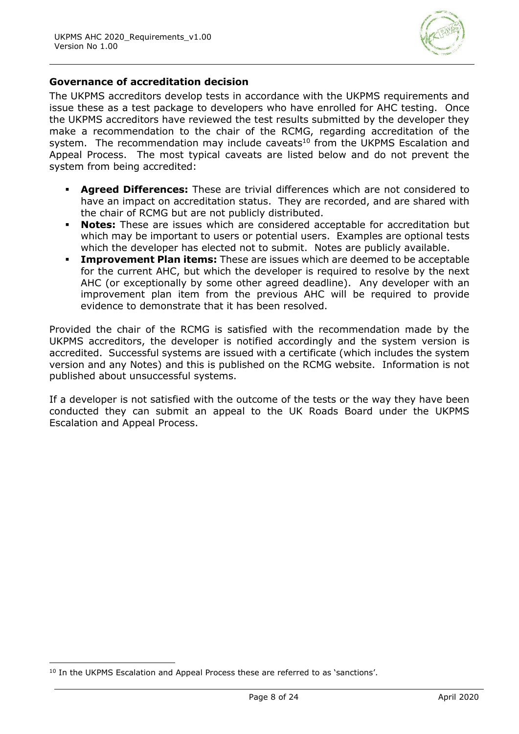

#### **Governance of accreditation decision**

The UKPMS accreditors develop tests in accordance with the UKPMS requirements and issue these as a test package to developers who have enrolled for AHC testing. Once the UKPMS accreditors have reviewed the test results submitted by the developer they make a recommendation to the chair of the RCMG, regarding accreditation of the system. The recommendation may include caveats $10$  from the UKPMS Escalation and Appeal Process. The most typical caveats are listed below and do not prevent the system from being accredited:

- **Agreed Differences:** These are trivial differences which are not considered to have an impact on accreditation status. They are recorded, and are shared with the chair of RCMG but are not publicly distributed.
- **Notes:** These are issues which are considered acceptable for accreditation but which may be important to users or potential users. Examples are optional tests which the developer has elected not to submit. Notes are publicly available.
- **Improvement Plan items:** These are issues which are deemed to be acceptable for the current AHC, but which the developer is required to resolve by the next AHC (or exceptionally by some other agreed deadline). Any developer with an improvement plan item from the previous AHC will be required to provide evidence to demonstrate that it has been resolved.

Provided the chair of the RCMG is satisfied with the recommendation made by the UKPMS accreditors, the developer is notified accordingly and the system version is accredited. Successful systems are issued with a certificate (which includes the system version and any Notes) and this is published on the RCMG website. Information is not published about unsuccessful systems.

If a developer is not satisfied with the outcome of the tests or the way they have been conducted they can submit an appeal to the UK Roads Board under the UKPMS Escalation and Appeal Process.

<sup>&</sup>lt;sup>10</sup> In the UKPMS Escalation and Appeal Process these are referred to as 'sanctions'.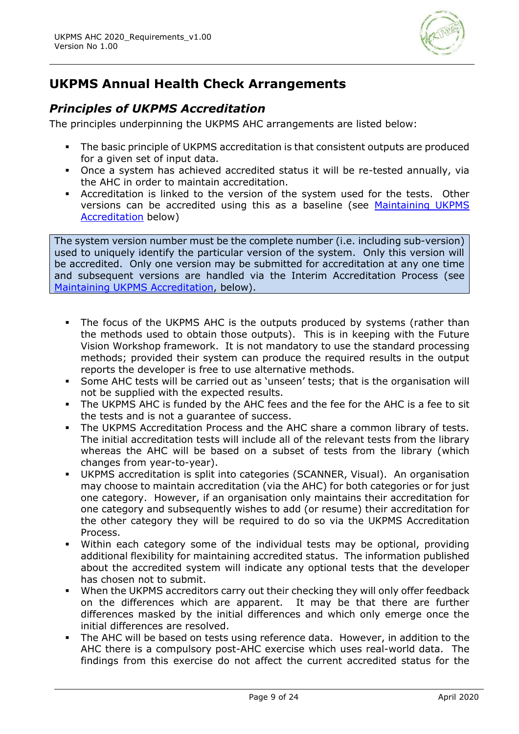

# **UKPMS Annual Health Check Arrangements**

# *Principles of UKPMS Accreditation*

The principles underpinning the UKPMS AHC arrangements are listed below:

- **•** The basic principle of UKPMS accreditation is that consistent outputs are produced for a given set of input data.
- Once a system has achieved accredited status it will be re-tested annually, via the AHC in order to maintain accreditation.
- Accreditation is linked to the version of the system used for the tests. Other versions can be accredited using this as a baseline (see [Maintaining UKPMS](#page-9-0)  [Accreditation](#page-9-0) below)

The system version number must be the complete number (i.e. including sub-version) used to uniquely identify the particular version of the system. Only this version will be accredited. Only one version may be submitted for accreditation at any one time and subsequent versions are handled via the Interim Accreditation Process (see [Maintaining UKPMS Accreditation,](#page-9-0) below).

- The focus of the UKPMS AHC is the outputs produced by systems (rather than the methods used to obtain those outputs). This is in keeping with the Future Vision Workshop framework. It is not mandatory to use the standard processing methods; provided their system can produce the required results in the output reports the developer is free to use alternative methods.
- Some AHC tests will be carried out as 'unseen' tests; that is the organisation will not be supplied with the expected results.
- The UKPMS AHC is funded by the AHC fees and the fee for the AHC is a fee to sit the tests and is not a guarantee of success.
- The UKPMS Accreditation Process and the AHC share a common library of tests. The initial accreditation tests will include all of the relevant tests from the library whereas the AHC will be based on a subset of tests from the library (which changes from year-to-year).
- UKPMS accreditation is split into categories (SCANNER, Visual). An organisation may choose to maintain accreditation (via the AHC) for both categories or for just one category. However, if an organisation only maintains their accreditation for one category and subsequently wishes to add (or resume) their accreditation for the other category they will be required to do so via the UKPMS Accreditation Process.
- Within each category some of the individual tests may be optional, providing additional flexibility for maintaining accredited status. The information published about the accredited system will indicate any optional tests that the developer has chosen not to submit.
- When the UKPMS accreditors carry out their checking they will only offer feedback on the differences which are apparent. It may be that there are further differences masked by the initial differences and which only emerge once the initial differences are resolved.
- The AHC will be based on tests using reference data. However, in addition to the AHC there is a compulsory post-AHC exercise which uses real-world data. The findings from this exercise do not affect the current accredited status for the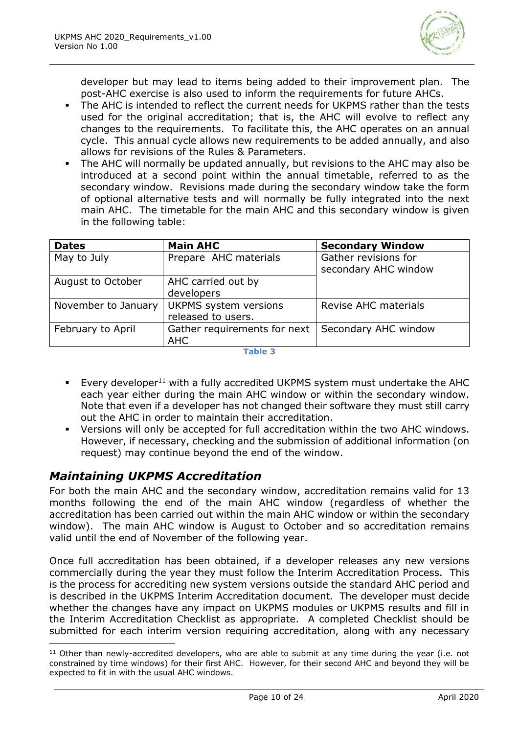

developer but may lead to items being added to their improvement plan. The post-AHC exercise is also used to inform the requirements for future AHCs.

- The AHC is intended to reflect the current needs for UKPMS rather than the tests used for the original accreditation; that is, the AHC will evolve to reflect any changes to the requirements. To facilitate this, the AHC operates on an annual cycle. This annual cycle allows new requirements to be added annually, and also allows for revisions of the Rules & Parameters.
- The AHC will normally be updated annually, but revisions to the AHC may also be introduced at a second point within the annual timetable, referred to as the secondary window. Revisions made during the secondary window take the form of optional alternative tests and will normally be fully integrated into the next main AHC. The timetable for the main AHC and this secondary window is given in the following table:

| <b>Dates</b>        | <b>Main AHC</b>              | <b>Secondary Window</b>                      |
|---------------------|------------------------------|----------------------------------------------|
| May to July         | Prepare AHC materials        | Gather revisions for<br>secondary AHC window |
| August to October   | AHC carried out by           |                                              |
|                     | developers                   |                                              |
| November to January | <b>UKPMS</b> system versions | <b>Revise AHC materials</b>                  |
|                     | released to users.           |                                              |
| February to April   | Gather requirements for next | Secondary AHC window                         |
|                     | AHC                          |                                              |

**Table 3**

- **Every developer**<sup>11</sup> with a fully accredited UKPMS system must undertake the AHC each year either during the main AHC window or within the secondary window. Note that even if a developer has not changed their software they must still carry out the AHC in order to maintain their accreditation.
- Versions will only be accepted for full accreditation within the two AHC windows. However, if necessary, checking and the submission of additional information (on request) may continue beyond the end of the window.

# <span id="page-9-0"></span>*Maintaining UKPMS Accreditation*

For both the main AHC and the secondary window, accreditation remains valid for 13 months following the end of the main AHC window (regardless of whether the accreditation has been carried out within the main AHC window or within the secondary window). The main AHC window is August to October and so accreditation remains valid until the end of November of the following year.

Once full accreditation has been obtained, if a developer releases any new versions commercially during the year they must follow the Interim Accreditation Process. This is the process for accrediting new system versions outside the standard AHC period and is described in the UKPMS Interim Accreditation document. The developer must decide whether the changes have any impact on UKPMS modules or UKPMS results and fill in the Interim Accreditation Checklist as appropriate. A completed Checklist should be submitted for each interim version requiring accreditation, along with any necessary

 $11$  Other than newly-accredited developers, who are able to submit at any time during the year (i.e. not constrained by time windows) for their first AHC. However, for their second AHC and beyond they will be expected to fit in with the usual AHC windows.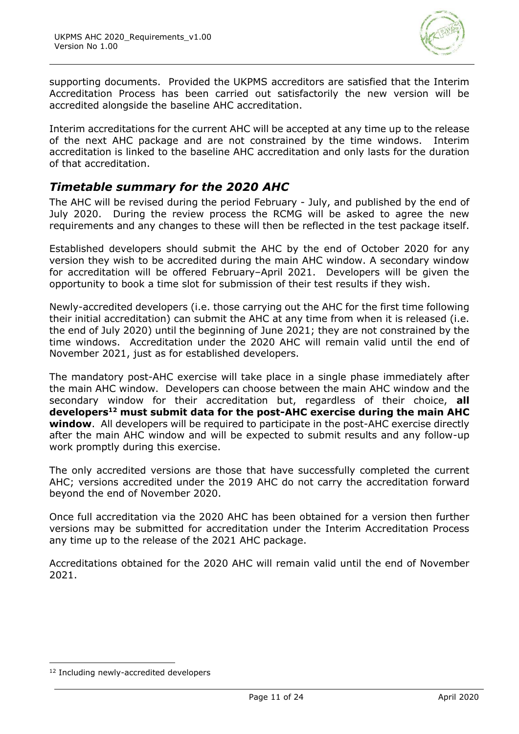

supporting documents. Provided the UKPMS accreditors are satisfied that the Interim Accreditation Process has been carried out satisfactorily the new version will be accredited alongside the baseline AHC accreditation.

Interim accreditations for the current AHC will be accepted at any time up to the release of the next AHC package and are not constrained by the time windows. Interim accreditation is linked to the baseline AHC accreditation and only lasts for the duration of that accreditation.

# *Timetable summary for the 2020 AHC*

The AHC will be revised during the period February - July, and published by the end of July 2020. During the review process the RCMG will be asked to agree the new requirements and any changes to these will then be reflected in the test package itself.

Established developers should submit the AHC by the end of October 2020 for any version they wish to be accredited during the main AHC window. A secondary window for accreditation will be offered February–April 2021. Developers will be given the opportunity to book a time slot for submission of their test results if they wish.

Newly-accredited developers (i.e. those carrying out the AHC for the first time following their initial accreditation) can submit the AHC at any time from when it is released (i.e. the end of July 2020) until the beginning of June 2021; they are not constrained by the time windows. Accreditation under the 2020 AHC will remain valid until the end of November 2021, just as for established developers.

The mandatory post-AHC exercise will take place in a single phase immediately after the main AHC window. Developers can choose between the main AHC window and the secondary window for their accreditation but, regardless of their choice, **all developers<sup>12</sup> must submit data for the post-AHC exercise during the main AHC window**. All developers will be required to participate in the post-AHC exercise directly after the main AHC window and will be expected to submit results and any follow-up work promptly during this exercise.

The only accredited versions are those that have successfully completed the current AHC; versions accredited under the 2019 AHC do not carry the accreditation forward beyond the end of November 2020.

Once full accreditation via the 2020 AHC has been obtained for a version then further versions may be submitted for accreditation under the Interim Accreditation Process any time up to the release of the 2021 AHC package.

Accreditations obtained for the 2020 AHC will remain valid until the end of November 2021.

<sup>&</sup>lt;sup>12</sup> Including newly-accredited developers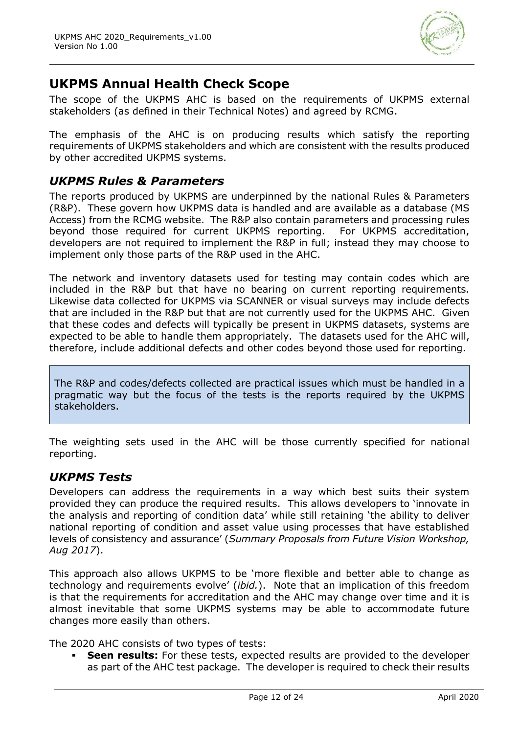

# **UKPMS Annual Health Check Scope**

The scope of the UKPMS AHC is based on the requirements of UKPMS external stakeholders (as defined in their Technical Notes) and agreed by RCMG.

The emphasis of the AHC is on producing results which satisfy the reporting requirements of UKPMS stakeholders and which are consistent with the results produced by other accredited UKPMS systems.

### *UKPMS Rules & Parameters*

The reports produced by UKPMS are underpinned by the national Rules & Parameters (R&P). These govern how UKPMS data is handled and are available as a database (MS Access) from the RCMG website. The R&P also contain parameters and processing rules beyond those required for current UKPMS reporting. For UKPMS accreditation, developers are not required to implement the R&P in full; instead they may choose to implement only those parts of the R&P used in the AHC.

The network and inventory datasets used for testing may contain codes which are included in the R&P but that have no bearing on current reporting requirements. Likewise data collected for UKPMS via SCANNER or visual surveys may include defects that are included in the R&P but that are not currently used for the UKPMS AHC. Given that these codes and defects will typically be present in UKPMS datasets, systems are expected to be able to handle them appropriately. The datasets used for the AHC will, therefore, include additional defects and other codes beyond those used for reporting.

The R&P and codes/defects collected are practical issues which must be handled in a pragmatic way but the focus of the tests is the reports required by the UKPMS stakeholders.

The weighting sets used in the AHC will be those currently specified for national reporting.

### *UKPMS Tests*

Developers can address the requirements in a way which best suits their system provided they can produce the required results. This allows developers to 'innovate in the analysis and reporting of condition data' while still retaining 'the ability to deliver national reporting of condition and asset value using processes that have established levels of consistency and assurance' (*Summary Proposals from Future Vision Workshop, Aug 2017*).

This approach also allows UKPMS to be 'more flexible and better able to change as technology and requirements evolve' (*ibid.*). Note that an implication of this freedom is that the requirements for accreditation and the AHC may change over time and it is almost inevitable that some UKPMS systems may be able to accommodate future changes more easily than others.

The 2020 AHC consists of two types of tests:

**Seen results:** For these tests, expected results are provided to the developer as part of the AHC test package. The developer is required to check their results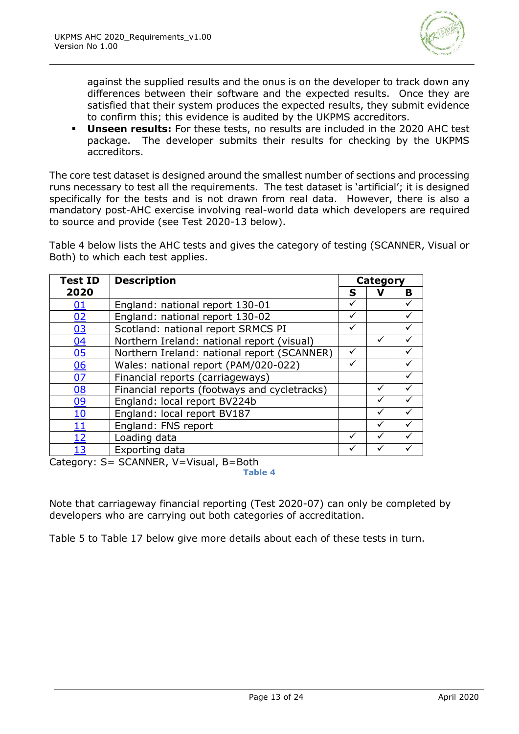

against the supplied results and the onus is on the developer to track down any differences between their software and the expected results. Once they are satisfied that their system produces the expected results, they submit evidence to confirm this; this evidence is audited by the UKPMS accreditors.

▪ **Unseen results:** For these tests, no results are included in the 2020 AHC test package. The developer submits their results for checking by the UKPMS accreditors.

The core test dataset is designed around the smallest number of sections and processing runs necessary to test all the requirements. The test dataset is 'artificial'; it is designed specifically for the tests and is not drawn from real data. However, there is also a mandatory post-AHC exercise involving real-world data which developers are required to source and provide (see Test 2020-13 below).

[Table 4](#page-12-0) below lists the AHC tests and gives the category of testing (SCANNER, Visual or Both) to which each test applies.

| <b>Test ID</b> | <b>Description</b>                           |   | <b>Category</b> |              |
|----------------|----------------------------------------------|---|-----------------|--------------|
| 2020           |                                              | S | ν               | B            |
| <u>01</u>      | England: national report 130-01              | ✓ |                 |              |
| 02             | England: national report 130-02              | ✓ |                 |              |
| 03             | Scotland: national report SRMCS PI           |   |                 |              |
| 04             | Northern Ireland: national report (visual)   |   | ✓               |              |
| 05             | Northern Ireland: national report (SCANNER)  | ✓ |                 |              |
| 06             | Wales: national report (PAM/020-022)         | ✓ |                 | $\checkmark$ |
| 07             | Financial reports (carriageways)             |   |                 |              |
| <u>08</u>      | Financial reports (footways and cycletracks) |   | ✓               |              |
| 09             | England: local report BV224b                 |   | ✓               |              |
| <u> 10</u>     | England: local report BV187                  |   | ✓               |              |
| 11             | England: FNS report                          |   | ✓               |              |
| <u>12</u>      | Loading data                                 |   |                 |              |
| 13             | Exporting data                               |   |                 |              |
|                | $C^{\text{r}}$                               |   |                 |              |

<span id="page-12-0"></span>Category: S= SCANNER, V=Visual, B=Both **Table 4**

Note that carriageway financial reporting (Test 2020-07) can only be completed by developers who are carrying out both categories of accreditation.

[Table 5](#page-13-2) to [Table 17](#page-22-1) below give more details about each of these tests in turn.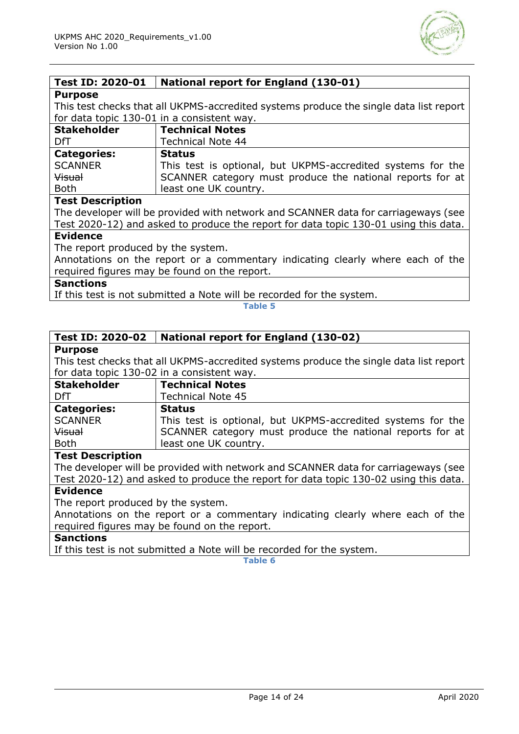

### <span id="page-13-0"></span>**Test ID: 2020-01 National report for England (130-01)**

#### **Purpose**

This test checks that all UKPMS-accredited systems produce the single data list report for data topic 130-01 in a consistent way.

| <b>Stakeholder</b> | <b>Technical Notes</b>                                      |
|--------------------|-------------------------------------------------------------|
| DfT                | <b>Technical Note 44</b>                                    |
| <b>Categories:</b> | <b>Status</b>                                               |
| <b>SCANNER</b>     | This test is optional, but UKPMS-accredited systems for the |
| <b>Visual</b>      | SCANNER category must produce the national reports for at   |
| <b>Both</b>        | least one UK country.                                       |

#### **Test Description**

The developer will be provided with network and SCANNER data for carriageways (see Test 2020-12) and asked to produce the report for data topic 130-01 using this data.

#### **Evidence**

The report produced by the system.

Annotations on the report or a commentary indicating clearly where each of the required figures may be found on the report.

#### **Sanctions**

<span id="page-13-2"></span>If this test is not submitted a Note will be recorded for the system.

**Table 5**

#### <span id="page-13-1"></span>**Test ID: 2020-02 National report for England (130-02)**

#### **Purpose**

This test checks that all UKPMS-accredited systems produce the single data list report for data topic 130-02 in a consistent way.

| <b>Stakeholder</b> | <b>Technical Notes</b>                                      |
|--------------------|-------------------------------------------------------------|
| DfT                | <b>Technical Note 45</b>                                    |
| <b>Categories:</b> | <b>Status</b>                                               |
| <b>SCANNER</b>     | This test is optional, but UKPMS-accredited systems for the |
| <b>Visual</b>      | SCANNER category must produce the national reports for at   |
| <b>Both</b>        | least one UK country.                                       |

#### **Test Description**

The developer will be provided with network and SCANNER data for carriageways (see Test 2020-12) and asked to produce the report for data topic 130-02 using this data.

### **Evidence**

The report produced by the system.

Annotations on the report or a commentary indicating clearly where each of the required figures may be found on the report.

### **Sanctions**

If this test is not submitted a Note will be recorded for the system.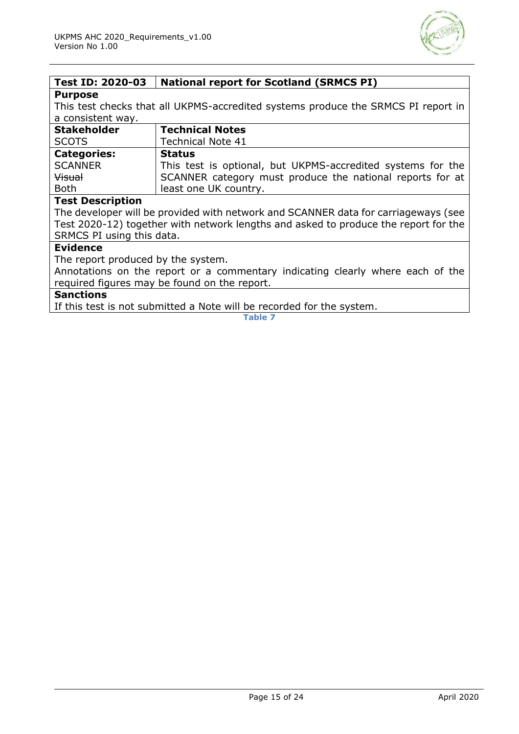

## <span id="page-14-0"></span>**Test ID: 2020-03 National report for Scotland (SRMCS PI)**

#### **Purpose**

This test checks that all UKPMS-accredited systems produce the SRMCS PI report in a consistent way.

| <b>Stakeholder</b> | <b>Technical Notes</b>                                      |
|--------------------|-------------------------------------------------------------|
| <b>SCOTS</b>       | <b>Technical Note 41</b>                                    |
| <b>Categories:</b> | <b>Status</b>                                               |
| <b>SCANNER</b>     | This test is optional, but UKPMS-accredited systems for the |
| <b>Visual</b>      | SCANNER category must produce the national reports for at   |
| <b>Both</b>        | least one UK country.                                       |

#### **Test Description**

The developer will be provided with network and SCANNER data for carriageways (see Test 2020-12) together with network lengths and asked to produce the report for the SRMCS PI using this data.

#### **Evidence**

The report produced by the system.

Annotations on the report or a commentary indicating clearly where each of the required figures may be found on the report.

#### **Sanctions**

If this test is not submitted a Note will be recorded for the system.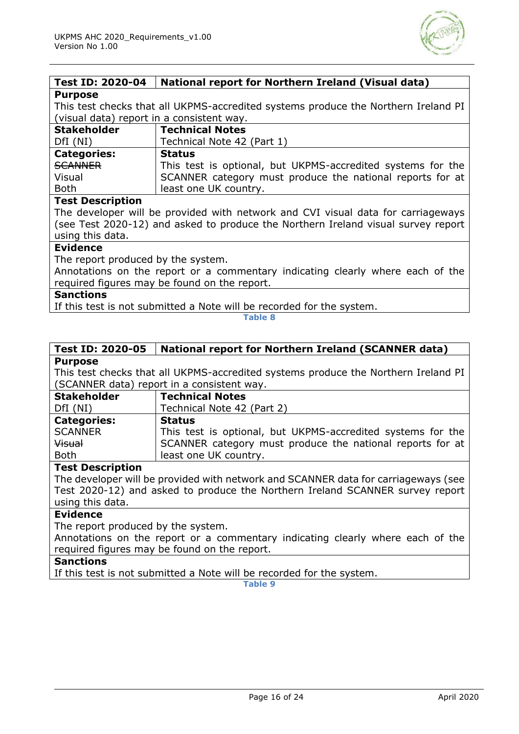

#### <span id="page-15-0"></span>**Test ID: 2020-04 National report for Northern Ireland (Visual data) Purpose**

This test checks that all UKPMS-accredited systems produce the Northern Ireland PI (visual data) report in a consistent way.

| <b>Stakeholder</b> | Technical Notes                                             |
|--------------------|-------------------------------------------------------------|
| DfI(NI)            | Technical Note 42 (Part 1)                                  |
| <b>Categories:</b> | <b>Status</b>                                               |
| SCANNER            | This test is optional, but UKPMS-accredited systems for the |
| Visual             | SCANNER category must produce the national reports for at   |
| <b>Both</b>        | least one UK country.                                       |

#### **Test Description**

The developer will be provided with network and CVI visual data for carriageways (see Test 2020-12) and asked to produce the Northern Ireland visual survey report using this data.

#### **Evidence**

The report produced by the system.

Annotations on the report or a commentary indicating clearly where each of the required figures may be found on the report.

#### **Sanctions**

If this test is not submitted a Note will be recorded for the system.

#### **Table 8**

#### <span id="page-15-1"></span>**Test ID: 2020-05 National report for Northern Ireland (SCANNER data) Purpose**

This test checks that all UKPMS-accredited systems produce the Northern Ireland PI (SCANNER data) report in a consistent way.

| <b>Stakeholder</b> | <b>Technical Notes</b>                                      |
|--------------------|-------------------------------------------------------------|
| DfI(NI)            | Technical Note 42 (Part 2)                                  |
| <b>Categories:</b> | <b>Status</b>                                               |
| <b>SCANNER</b>     | This test is optional, but UKPMS-accredited systems for the |
| Visual             | SCANNER category must produce the national reports for at   |
| <b>Both</b>        | least one UK country.                                       |

#### **Test Description**

The developer will be provided with network and SCANNER data for carriageways (see Test 2020-12) and asked to produce the Northern Ireland SCANNER survey report using this data.

#### **Evidence**

The report produced by the system.

Annotations on the report or a commentary indicating clearly where each of the required figures may be found on the report.

#### **Sanctions**

<span id="page-15-2"></span>If this test is not submitted a Note will be recorded for the system.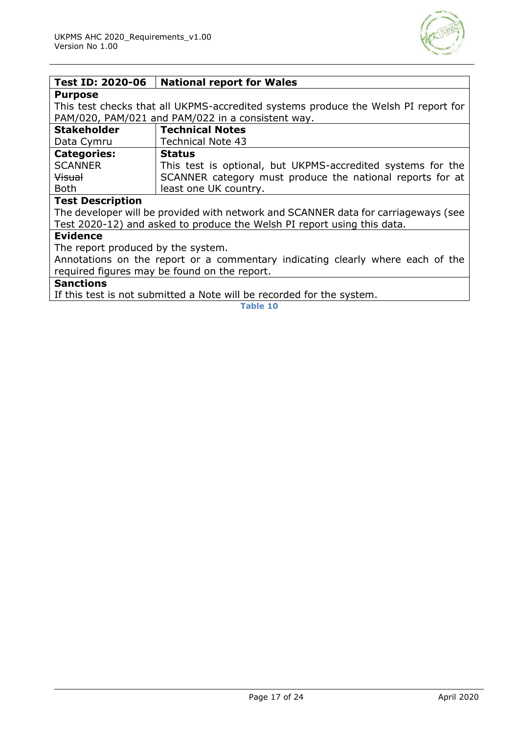

#### **Test ID: 2020-06 National report for Wales**

#### **Purpose**

This test checks that all UKPMS-accredited systems produce the Welsh PI report for PAM/020, PAM/021 and PAM/022 in a consistent way.

| <b>Stakeholder</b> | <b>Technical Notes</b>                                      |
|--------------------|-------------------------------------------------------------|
| Data Cymru         | <b>Technical Note 43</b>                                    |
| <b>Categories:</b> | <b>Status</b>                                               |
| <b>SCANNER</b>     | This test is optional, but UKPMS-accredited systems for the |
| <b>Visual</b>      | SCANNER category must produce the national reports for at   |
| <b>Both</b>        | least one UK country.                                       |

#### **Test Description**

The developer will be provided with network and SCANNER data for carriageways (see Test 2020-12) and asked to produce the Welsh PI report using this data.

#### **Evidence**

The report produced by the system.

Annotations on the report or a commentary indicating clearly where each of the required figures may be found on the report.

### **Sanctions**

If this test is not submitted a Note will be recorded for the system.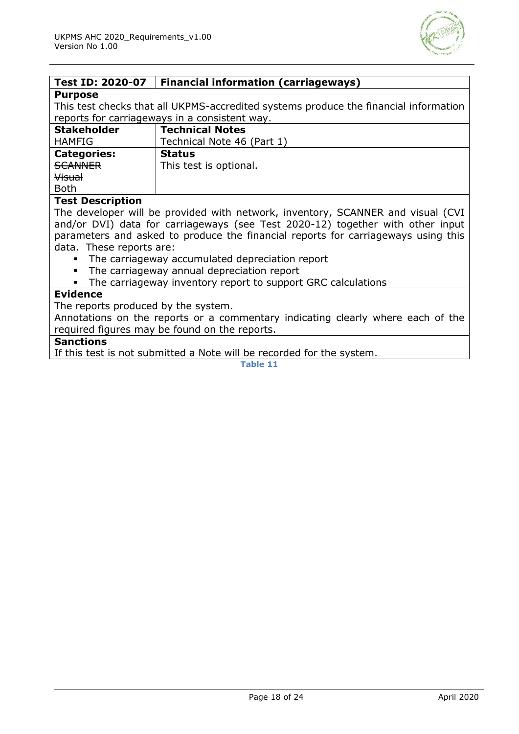

<span id="page-17-0"></span>

| <b>Test ID: 2020-07</b>                                                              | <b>Financial information (carriageways)</b>                                                                                                                                                                                                                                                                 |
|--------------------------------------------------------------------------------------|-------------------------------------------------------------------------------------------------------------------------------------------------------------------------------------------------------------------------------------------------------------------------------------------------------------|
| <b>Purpose</b>                                                                       |                                                                                                                                                                                                                                                                                                             |
| This test checks that all UKPMS-accredited systems produce the financial information |                                                                                                                                                                                                                                                                                                             |
| reports for carriageways in a consistent way.                                        |                                                                                                                                                                                                                                                                                                             |
| <b>Stakeholder</b>                                                                   | <b>Technical Notes</b>                                                                                                                                                                                                                                                                                      |
| <b>HAMFIG</b>                                                                        | Technical Note 46 (Part 1)                                                                                                                                                                                                                                                                                  |
| <b>Categories:</b>                                                                   | <b>Status</b>                                                                                                                                                                                                                                                                                               |
| <b>SCANNER</b>                                                                       | This test is optional.                                                                                                                                                                                                                                                                                      |
| <b>Visual</b>                                                                        |                                                                                                                                                                                                                                                                                                             |
| <b>Both</b>                                                                          |                                                                                                                                                                                                                                                                                                             |
| <b>Test Description</b>                                                              |                                                                                                                                                                                                                                                                                                             |
| .                                                                                    | $\mathbf{r}$ , $\mathbf{r}$ , $\mathbf{r}$ , $\mathbf{r}$ , $\mathbf{r}$ , $\mathbf{r}$ , $\mathbf{r}$ , $\mathbf{r}$ , $\mathbf{r}$ , $\mathbf{r}$ , $\mathbf{r}$ , $\mathbf{r}$ , $\mathbf{r}$ , $\mathbf{r}$ , $\mathbf{r}$ , $\mathbf{r}$ , $\mathbf{r}$ , $\mathbf{r}$ , $\mathbf{r}$ , $\mathbf{r}$ , |

The developer will be provided with network, inventory, SCANNER and visual (CVI and/or DVI) data for carriageways (see Test 2020-12) together with other input parameters and asked to produce the financial reports for carriageways using this data. These reports are:

- The carriageway accumulated depreciation report
- The carriageway annual depreciation report
- The carriageway inventory report to support GRC calculations

#### **Evidence**

The reports produced by the system.

Annotations on the reports or a commentary indicating clearly where each of the required figures may be found on the reports.

#### **Sanctions**

<span id="page-17-1"></span>If this test is not submitted a Note will be recorded for the system.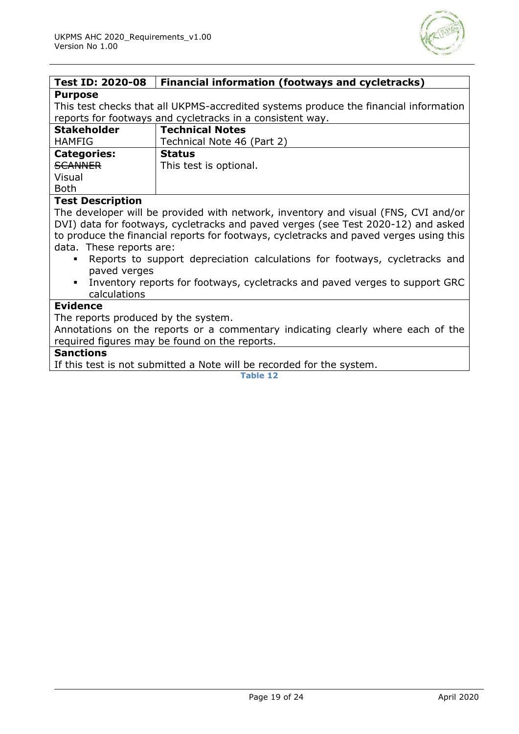

| <b>Test ID: 2020-08</b>                                                                            | <b>Financial information (footways and cycletracks)</b>                            |  |
|----------------------------------------------------------------------------------------------------|------------------------------------------------------------------------------------|--|
| <b>Purpose</b>                                                                                     |                                                                                    |  |
| This test checks that all UKPMS-accredited systems produce the financial information               |                                                                                    |  |
| reports for footways and cycletracks in a consistent way.                                          |                                                                                    |  |
| <b>Stakeholder</b>                                                                                 | <b>Technical Notes</b>                                                             |  |
| <b>HAMFIG</b>                                                                                      | Technical Note 46 (Part 2)                                                         |  |
| <b>Categories:</b>                                                                                 | <b>Status</b>                                                                      |  |
| <b>SCANNER</b>                                                                                     | This test is optional.                                                             |  |
| Visual                                                                                             |                                                                                    |  |
| <b>Both</b>                                                                                        |                                                                                    |  |
| <b>Test Description</b>                                                                            |                                                                                    |  |
|                                                                                                    | The developer will be provided with network, inventory and visual (FNS, CVI and/or |  |
|                                                                                                    | DVI) data for footways, cycletracks and paved verges (see Test 2020-12) and asked  |  |
| to produce the financial reports for footways, cycletracks and paved verges using this             |                                                                                    |  |
| data. These reports are:                                                                           |                                                                                    |  |
| Reports to support depreciation calculations for footways, cycletracks and                         |                                                                                    |  |
| paved verges                                                                                       |                                                                                    |  |
| Inventory reports for footways, cycletracks and paved verges to support GRC<br>$\blacksquare$      |                                                                                    |  |
| calculations                                                                                       |                                                                                    |  |
| <b>Evidence</b>                                                                                    |                                                                                    |  |
| The reports produced by the system.                                                                |                                                                                    |  |
| Annotations on the reports or a commentary indicating clearly where each of the                    |                                                                                    |  |
| required figures may be found on the reports.                                                      |                                                                                    |  |
| <b>Sanctions</b><br>TC this to st is mut acchaetheral a Mate coill has conserved from the a second |                                                                                    |  |

If this test is not submitted a Note will be recorded for the system.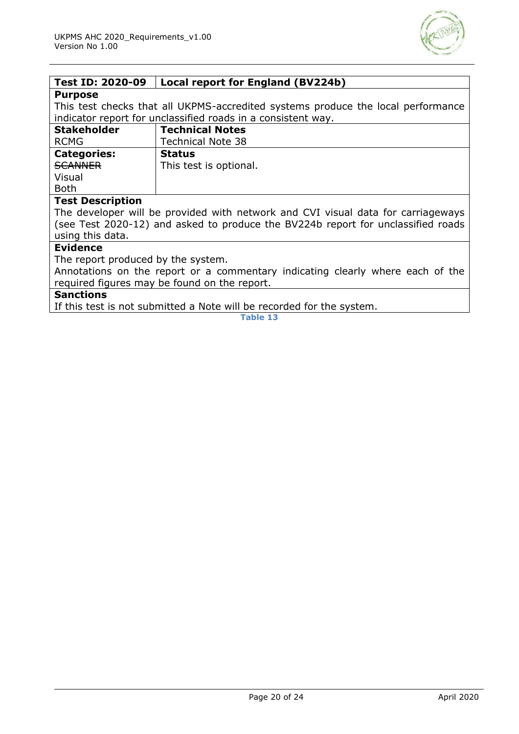

<span id="page-19-0"></span>

| <b>Test ID: 2020-09</b>                                                          | Local report for England (BV224b)                            |
|----------------------------------------------------------------------------------|--------------------------------------------------------------|
| <b>Purpose</b>                                                                   |                                                              |
| This test checks that all UKPMS-accredited systems produce the local performance |                                                              |
|                                                                                  | indicator report for unclassified roads in a consistent way. |
| <b>Stakeholder</b>                                                               | <b>Technical Notes</b>                                       |
| <b>RCMG</b>                                                                      | <b>Technical Note 38</b>                                     |
| <b>Categories:</b>                                                               | <b>Status</b>                                                |
| <b>SCANNER</b>                                                                   | This test is optional.                                       |
| Visual                                                                           |                                                              |
| <b>Both</b>                                                                      |                                                              |
| <b>Test Description</b>                                                          |                                                              |
| The developer will be provided with network and CVI visual data for carriageways |                                                              |
| (see Test 2020-12) and asked to produce the BV224b report for unclassified roads |                                                              |
| using this data.                                                                 |                                                              |
| <b>Evidence</b>                                                                  |                                                              |
| The report produced by the system.                                               |                                                              |
| Annotations on the report or a commentary indicating clearly where each of the   |                                                              |
| required figures may be found on the report.                                     |                                                              |

## **Sanctions**

<span id="page-19-1"></span>If this test is not submitted a Note will be recorded for the system.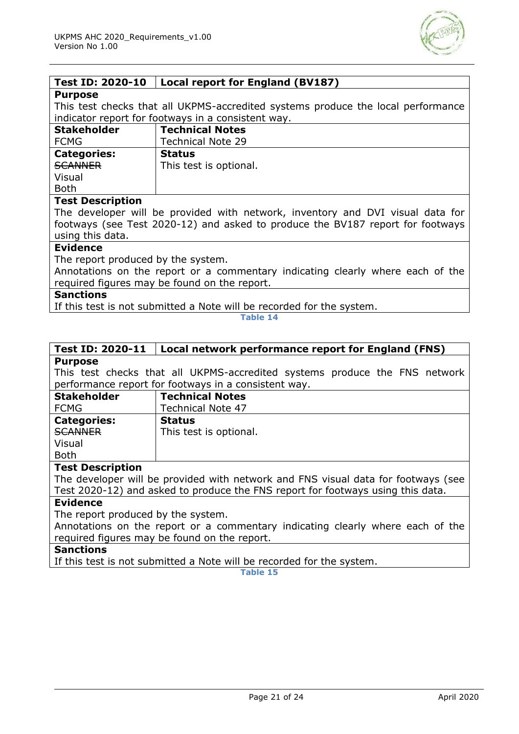

| Test ID: 2020-10                                                                 | Local report for England (BV187) |
|----------------------------------------------------------------------------------|----------------------------------|
| <b>Purpose</b>                                                                   |                                  |
| This test checks that all UKPMS-accredited systems produce the local performance |                                  |
| indicator report for footways in a consistent way.                               |                                  |
| <b>Stakeholder</b>                                                               | <b>Technical Notes</b>           |
| <b>FCMG</b>                                                                      | <b>Technical Note 29</b>         |
| <b>Categories:</b>                                                               | <b>Status</b>                    |
| <b>SCANNER</b>                                                                   | This test is optional.           |
| Visual                                                                           |                                  |
| <b>Both</b>                                                                      |                                  |
| <b>Test Description</b>                                                          |                                  |
| The developer will be provided with network, inventory and DVI visual data for   |                                  |
| footways (see Test 2020-12) and asked to produce the BV187 report for footways   |                                  |
| using this data.                                                                 |                                  |
| <b>Evidence</b>                                                                  |                                  |
| The report produced by the system.                                               |                                  |
| Annotations on the report or a commentary indicating clearly where each of the   |                                  |
| required figures may be found on the report.                                     |                                  |
| <b>Sanctions</b>                                                                 |                                  |

If this test is not submitted a Note will be recorded for the system.

**Table 14**

#### <span id="page-20-0"></span>**Test ID: 2020-11 Local network performance report for England (FNS) Purpose**

This test checks that all UKPMS-accredited systems produce the FNS network performance report for footways in a consistent way.

| <b>Stakeholder</b> | <b>Technical Notes</b>   |
|--------------------|--------------------------|
| <b>FCMG</b>        | <b>Technical Note 47</b> |
| <b>Categories:</b> | <b>Status</b>            |
| <b>SCANNER</b>     | This test is optional.   |
| Visual             |                          |
| <b>Both</b>        |                          |

#### **Test Description**

The developer will be provided with network and FNS visual data for footways (see Test 2020-12) and asked to produce the FNS report for footways using this data.

#### **Evidence**

The report produced by the system.

Annotations on the report or a commentary indicating clearly where each of the required figures may be found on the report.

#### **Sanctions**

If this test is not submitted a Note will be recorded for the system.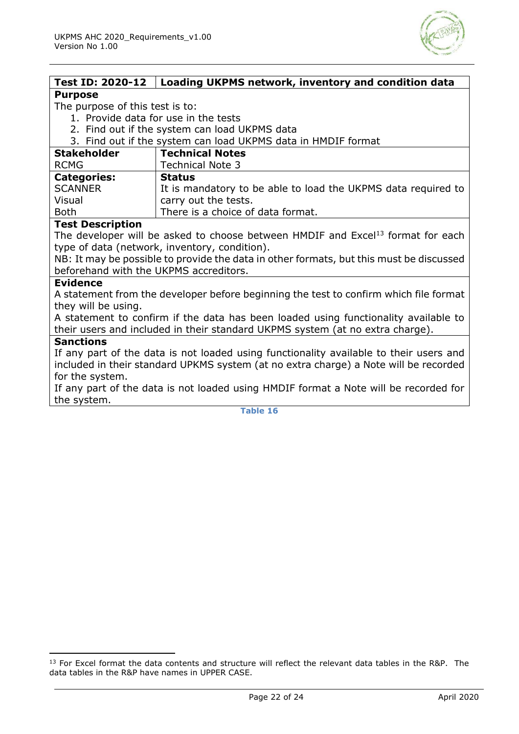

<span id="page-21-0"></span>

| Test ID: 2020-12                                                                        | Loading UKPMS network, inventory and condition data                                         |
|-----------------------------------------------------------------------------------------|---------------------------------------------------------------------------------------------|
| <b>Purpose</b>                                                                          |                                                                                             |
| The purpose of this test is to:                                                         |                                                                                             |
| 1. Provide data for use in the tests                                                    |                                                                                             |
| 2. Find out if the system can load UKPMS data                                           |                                                                                             |
| 3. Find out if the system can load UKPMS data in HMDIF format                           |                                                                                             |
| <b>Stakeholder</b>                                                                      | <b>Technical Notes</b>                                                                      |
| <b>RCMG</b>                                                                             | <b>Technical Note 3</b>                                                                     |
| <b>Categories:</b>                                                                      | <b>Status</b>                                                                               |
| <b>SCANNER</b>                                                                          | It is mandatory to be able to load the UKPMS data required to                               |
| Visual                                                                                  | carry out the tests.                                                                        |
| <b>Both</b>                                                                             | There is a choice of data format.                                                           |
| <b>Test Description</b>                                                                 |                                                                                             |
|                                                                                         | The developer will be asked to choose between HMDIF and Excel <sup>13</sup> format for each |
|                                                                                         | type of data (network, inventory, condition).                                               |
| NB: It may be possible to provide the data in other formats, but this must be discussed |                                                                                             |
| beforehand with the UKPMS accreditors.                                                  |                                                                                             |
| <b>Evidence</b>                                                                         |                                                                                             |
| A statement from the developer before beginning the test to confirm which file format   |                                                                                             |
| they will be using.                                                                     |                                                                                             |
| A statement to confirm if the data has been loaded using functionality available to     |                                                                                             |
| their users and included in their standard UKPMS system (at no extra charge).           |                                                                                             |
| <b>Sanctions</b>                                                                        |                                                                                             |
| If any part of the data is not loaded using functionality available to their users and  |                                                                                             |
| included in their standard UPKMS system (at no extra charge) a Note will be recorded    |                                                                                             |
| for the system.                                                                         |                                                                                             |
| If any part of the data is not loaded using HMDIF format a Note will be recorded for    |                                                                                             |
| the system.                                                                             |                                                                                             |

<sup>&</sup>lt;sup>13</sup> For Excel format the data contents and structure will reflect the relevant data tables in the R&P. The data tables in the R&P have names in UPPER CASE.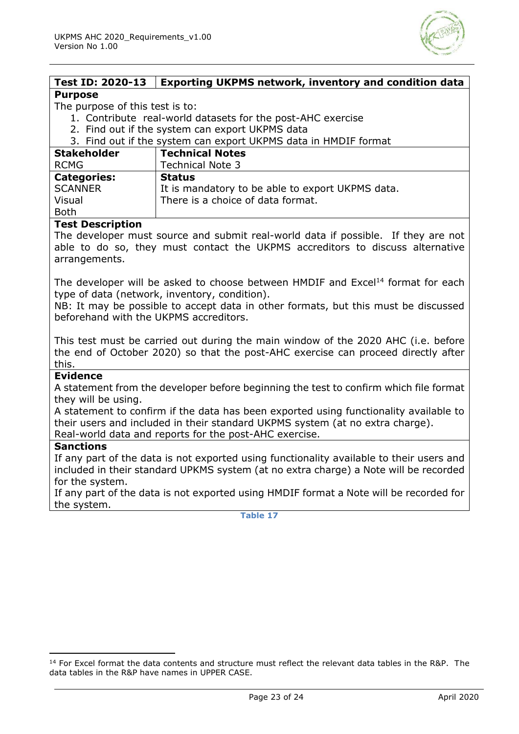

#### <span id="page-22-0"></span>**Test ID: 2020-13 Exporting UKPMS network, inventory and condition data Purpose**

#### The purpose of this test is to:

- 1. Contribute real-world datasets for the post-AHC exercise
- 2. Find out if the system can export UKPMS data
- 3. Find out if the system can export UKPMS data in HMDIF format

| <b>Stakeholder</b><br><b>RCMG</b> | <b>Technical Notes</b><br><b>Technical Note 3</b> |
|-----------------------------------|---------------------------------------------------|
| <b>Categories:</b>                | <b>Status</b>                                     |
| <b>SCANNER</b>                    | It is mandatory to be able to export UKPMS data.  |
| Visual                            | There is a choice of data format.                 |
| <b>Both</b>                       |                                                   |

#### **Test Description**

The developer must source and submit real-world data if possible. If they are not able to do so, they must contact the UKPMS accreditors to discuss alternative arrangements.

The developer will be asked to choose between HMDIF and Excel<sup>14</sup> format for each type of data (network, inventory, condition).

NB: It may be possible to accept data in other formats, but this must be discussed beforehand with the UKPMS accreditors.

This test must be carried out during the main window of the 2020 AHC (i.e. before the end of October 2020) so that the post-AHC exercise can proceed directly after this.

#### **Evidence**

A statement from the developer before beginning the test to confirm which file format they will be using.

A statement to confirm if the data has been exported using functionality available to their users and included in their standard UKPMS system (at no extra charge). Real-world data and reports for the post-AHC exercise.

#### **Sanctions**

If any part of the data is not exported using functionality available to their users and included in their standard UPKMS system (at no extra charge) a Note will be recorded for the system.

<span id="page-22-1"></span>If any part of the data is not exported using HMDIF format a Note will be recorded for the system.

<sup>&</sup>lt;sup>14</sup> For Excel format the data contents and structure must reflect the relevant data tables in the R&P. The data tables in the R&P have names in UPPER CASE.